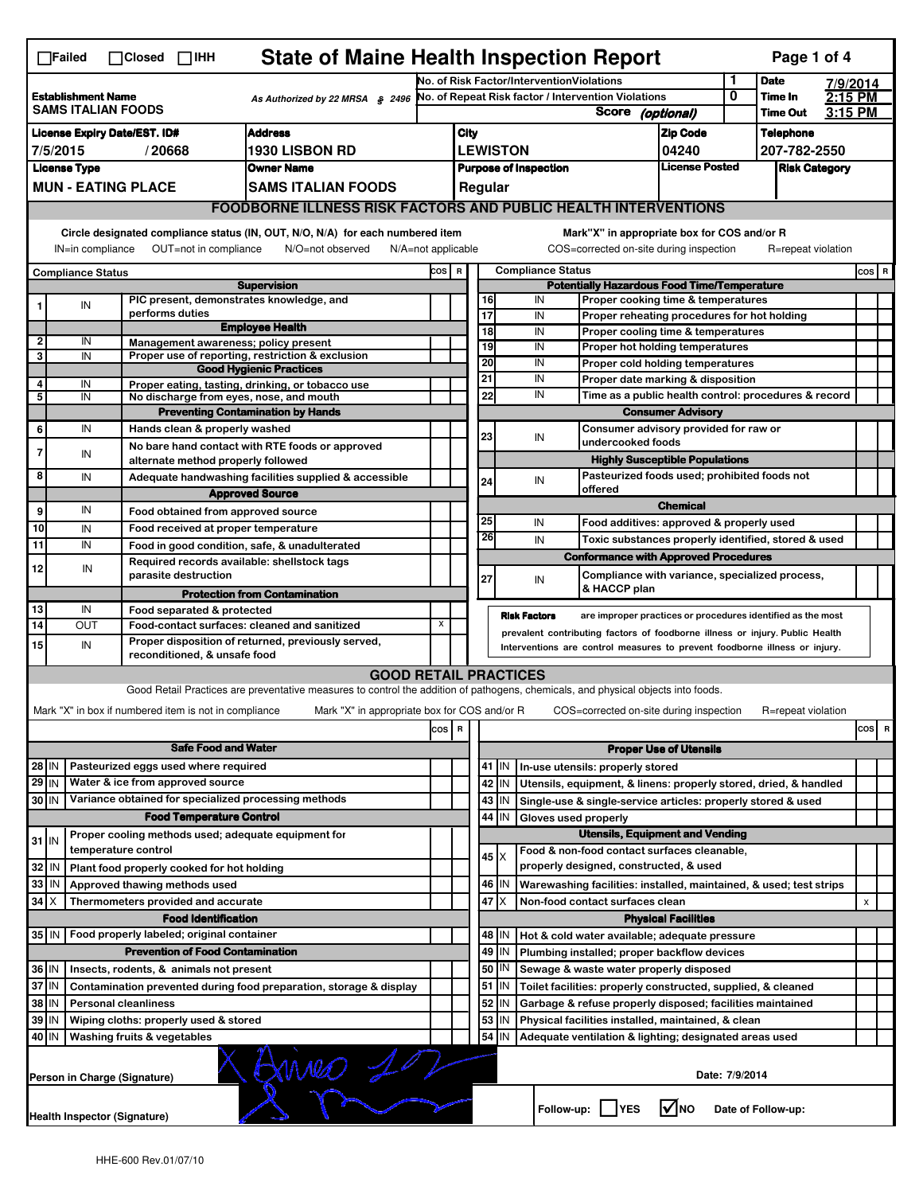| <b>State of Maine Health Inspection Report</b><br>Page 1 of 4<br>$\Box$ Failed<br>$\Box$ Closed $\Box$ IHH            |                                                                                                                                                                           |                                     |                                                       |                                                                                                                                   |                                           |                                                       |                                                                                                                                                            |                                                    |                     |                                                                                        |                            |          |                    |         |                                |
|-----------------------------------------------------------------------------------------------------------------------|---------------------------------------------------------------------------------------------------------------------------------------------------------------------------|-------------------------------------|-------------------------------------------------------|-----------------------------------------------------------------------------------------------------------------------------------|-------------------------------------------|-------------------------------------------------------|------------------------------------------------------------------------------------------------------------------------------------------------------------|----------------------------------------------------|---------------------|----------------------------------------------------------------------------------------|----------------------------|----------|--------------------|---------|--------------------------------|
|                                                                                                                       |                                                                                                                                                                           |                                     |                                                       |                                                                                                                                   | No. of Risk Factor/InterventionViolations |                                                       |                                                                                                                                                            |                                                    |                     | 1                                                                                      | <b>Date</b>                | 7/9/2014 |                    |         |                                |
| <b>Establishment Name</b><br>As Authorized by 22 MRSA § 2496<br><b>SAMS ITALIAN FOODS</b>                             |                                                                                                                                                                           |                                     |                                                       |                                                                                                                                   |                                           | No. of Repeat Risk factor / Intervention Violations   |                                                                                                                                                            |                                                    |                     |                                                                                        | 0                          | Time In  | 2:15 PM            |         |                                |
|                                                                                                                       |                                                                                                                                                                           |                                     |                                                       |                                                                                                                                   |                                           |                                                       |                                                                                                                                                            |                                                    |                     | <b>Score</b>                                                                           | (optional)                 |          | <b>Time Out</b>    | 3:15 PM |                                |
|                                                                                                                       |                                                                                                                                                                           | <b>License Expiry Date/EST. ID#</b> |                                                       | <b>Address</b>                                                                                                                    |                                           | City                                                  |                                                                                                                                                            |                                                    |                     |                                                                                        | <b>Zip Code</b>            |          | <b>Telephone</b>   |         |                                |
|                                                                                                                       | 7/5/2015                                                                                                                                                                  |                                     | /20668                                                | <b>1930 LISBON RD</b>                                                                                                             |                                           |                                                       |                                                                                                                                                            | <b>LEWISTON</b>                                    |                     |                                                                                        | 04240                      |          | 207-782-2550       |         |                                |
| <b>License Type</b><br><b>Owner Name</b>                                                                              |                                                                                                                                                                           |                                     |                                                       |                                                                                                                                   |                                           | <b>License Posted</b><br><b>Purpose of Inspection</b> |                                                                                                                                                            |                                                    |                     |                                                                                        | <b>Risk Category</b>       |          |                    |         |                                |
|                                                                                                                       | <b>MUN - EATING PLACE</b><br><b>SAMS ITALIAN FOODS</b>                                                                                                                    |                                     |                                                       |                                                                                                                                   |                                           |                                                       | Regular                                                                                                                                                    |                                                    |                     |                                                                                        |                            |          |                    |         |                                |
|                                                                                                                       |                                                                                                                                                                           |                                     |                                                       | <b>FOODBORNE ILLNESS RISK FACTORS AND PUBLIC HEALTH INTERVENTIONS</b>                                                             |                                           |                                                       |                                                                                                                                                            |                                                    |                     |                                                                                        |                            |          |                    |         |                                |
|                                                                                                                       | Circle designated compliance status (IN, OUT, N/O, N/A) for each numbered item<br>IN=in compliance<br>OUT=not in compliance<br>N/O=not observed<br>$N/A = not$ applicable |                                     |                                                       |                                                                                                                                   |                                           |                                                       |                                                                                                                                                            |                                                    |                     | Mark"X" in appropriate box for COS and/or R<br>COS=corrected on-site during inspection |                            |          | R=repeat violation |         |                                |
|                                                                                                                       |                                                                                                                                                                           |                                     |                                                       |                                                                                                                                   |                                           |                                                       |                                                                                                                                                            | <b>Compliance Status</b><br>COS R                  |                     |                                                                                        |                            |          |                    |         |                                |
| <b>Compliance Status</b><br><b>Supervision</b>                                                                        |                                                                                                                                                                           |                                     |                                                       |                                                                                                                                   |                                           | <b>Potentially Hazardous Food Time/Temperature</b>    |                                                                                                                                                            |                                                    |                     |                                                                                        |                            |          |                    |         | $\cos   R$                     |
| 1                                                                                                                     | IN                                                                                                                                                                        |                                     |                                                       | PIC present, demonstrates knowledge, and                                                                                          |                                           |                                                       | 16                                                                                                                                                         |                                                    | IN                  | Proper cooking time & temperatures                                                     |                            |          |                    |         |                                |
|                                                                                                                       |                                                                                                                                                                           |                                     | performs duties                                       |                                                                                                                                   |                                           |                                                       | $\overline{17}$                                                                                                                                            |                                                    | IN                  | Proper reheating procedures for hot holding                                            |                            |          |                    |         |                                |
| $\overline{\mathbf{2}}$                                                                                               | IN                                                                                                                                                                        |                                     |                                                       | <b>Employee Health</b>                                                                                                            |                                           |                                                       | 18                                                                                                                                                         |                                                    | IN                  | Proper cooling time & temperatures                                                     |                            |          |                    |         |                                |
| 3                                                                                                                     | IN                                                                                                                                                                        |                                     |                                                       | Management awareness; policy present<br>Proper use of reporting, restriction & exclusion                                          |                                           |                                                       | 19                                                                                                                                                         |                                                    | IN                  | Proper hot holding temperatures                                                        |                            |          |                    |         |                                |
|                                                                                                                       |                                                                                                                                                                           |                                     |                                                       | <b>Good Hygienic Practices</b>                                                                                                    |                                           |                                                       | 20                                                                                                                                                         |                                                    | IN                  | Proper cold holding temperatures                                                       |                            |          |                    |         |                                |
| $\overline{4}$                                                                                                        | IN                                                                                                                                                                        |                                     |                                                       | Proper eating, tasting, drinking, or tobacco use                                                                                  |                                           |                                                       | 21                                                                                                                                                         |                                                    | IN                  | Proper date marking & disposition                                                      |                            |          |                    |         |                                |
| 5                                                                                                                     | IN                                                                                                                                                                        |                                     |                                                       | No discharge from eyes, nose, and mouth                                                                                           |                                           |                                                       | 22                                                                                                                                                         |                                                    | IN                  | Time as a public health control: procedures & record                                   |                            |          |                    |         |                                |
|                                                                                                                       |                                                                                                                                                                           |                                     |                                                       | <b>Preventing Contamination by Hands</b>                                                                                          |                                           |                                                       |                                                                                                                                                            |                                                    |                     |                                                                                        | <b>Consumer Advisory</b>   |          |                    |         |                                |
| 6                                                                                                                     | IN                                                                                                                                                                        |                                     | Hands clean & properly washed                         |                                                                                                                                   |                                           |                                                       | 23                                                                                                                                                         |                                                    | IN                  | Consumer advisory provided for raw or<br>undercooked foods                             |                            |          |                    |         |                                |
| $\overline{7}$                                                                                                        | IN                                                                                                                                                                        |                                     | alternate method properly followed                    | No bare hand contact with RTE foods or approved                                                                                   |                                           |                                                       |                                                                                                                                                            |                                                    |                     | <b>Highly Susceptible Populations</b>                                                  |                            |          |                    |         |                                |
| 8                                                                                                                     | IN                                                                                                                                                                        |                                     |                                                       | Adequate handwashing facilities supplied & accessible                                                                             |                                           |                                                       |                                                                                                                                                            |                                                    |                     | Pasteurized foods used; prohibited foods not                                           |                            |          |                    |         |                                |
|                                                                                                                       |                                                                                                                                                                           |                                     |                                                       | <b>Approved Source</b>                                                                                                            |                                           |                                                       | 24                                                                                                                                                         |                                                    | IN                  | offered                                                                                |                            |          |                    |         |                                |
| 9                                                                                                                     | IN                                                                                                                                                                        |                                     | Food obtained from approved source                    |                                                                                                                                   |                                           |                                                       |                                                                                                                                                            |                                                    |                     |                                                                                        | <b>Chemical</b>            |          |                    |         |                                |
| 10                                                                                                                    | IN                                                                                                                                                                        |                                     | Food received at proper temperature                   |                                                                                                                                   |                                           |                                                       | 25                                                                                                                                                         |                                                    | IN                  | Food additives: approved & properly used                                               |                            |          |                    |         |                                |
| 11                                                                                                                    | IN                                                                                                                                                                        |                                     |                                                       | Food in good condition, safe, & unadulterated                                                                                     |                                           |                                                       | 26                                                                                                                                                         |                                                    | IN                  | Toxic substances properly identified, stored & used                                    |                            |          |                    |         |                                |
|                                                                                                                       |                                                                                                                                                                           |                                     |                                                       | Required records available: shellstock tags                                                                                       |                                           |                                                       |                                                                                                                                                            |                                                    |                     | <b>Conformance with Approved Procedures</b>                                            |                            |          |                    |         |                                |
| 12                                                                                                                    | IN                                                                                                                                                                        |                                     | parasite destruction                                  |                                                                                                                                   |                                           |                                                       | 27                                                                                                                                                         |                                                    | IN                  | Compliance with variance, specialized process,                                         |                            |          |                    |         |                                |
|                                                                                                                       |                                                                                                                                                                           |                                     |                                                       | <b>Protection from Contamination</b>                                                                                              |                                           |                                                       |                                                                                                                                                            |                                                    |                     | & HACCP plan                                                                           |                            |          |                    |         |                                |
| 13                                                                                                                    | IN                                                                                                                                                                        |                                     | Food separated & protected                            |                                                                                                                                   |                                           |                                                       |                                                                                                                                                            |                                                    | <b>Risk Factors</b> | are improper practices or procedures identified as the most                            |                            |          |                    |         |                                |
| 14                                                                                                                    | <b>OUT</b>                                                                                                                                                                |                                     |                                                       | Food-contact surfaces: cleaned and sanitized                                                                                      | Х                                         |                                                       |                                                                                                                                                            |                                                    |                     |                                                                                        |                            |          |                    |         |                                |
| 15                                                                                                                    | IN                                                                                                                                                                        |                                     |                                                       | Proper disposition of returned, previously served,                                                                                |                                           |                                                       | prevalent contributing factors of foodborne illness or injury. Public Health<br>Interventions are control measures to prevent foodborne illness or injury. |                                                    |                     |                                                                                        |                            |          |                    |         |                                |
|                                                                                                                       |                                                                                                                                                                           |                                     | reconditioned, & unsafe food                          |                                                                                                                                   |                                           |                                                       |                                                                                                                                                            |                                                    |                     |                                                                                        |                            |          |                    |         |                                |
|                                                                                                                       |                                                                                                                                                                           |                                     |                                                       | <b>GOOD RETAIL PRACTICES</b>                                                                                                      |                                           |                                                       |                                                                                                                                                            |                                                    |                     |                                                                                        |                            |          |                    |         |                                |
|                                                                                                                       |                                                                                                                                                                           |                                     |                                                       | Good Retail Practices are preventative measures to control the addition of pathogens, chemicals, and physical objects into foods. |                                           |                                                       |                                                                                                                                                            |                                                    |                     |                                                                                        |                            |          |                    |         |                                |
|                                                                                                                       |                                                                                                                                                                           |                                     | Mark "X" in box if numbered item is not in compliance | Mark "X" in appropriate box for COS and/or R                                                                                      |                                           |                                                       |                                                                                                                                                            |                                                    |                     | COS=corrected on-site during inspection                                                |                            |          | R=repeat violation |         |                                |
|                                                                                                                       |                                                                                                                                                                           |                                     |                                                       |                                                                                                                                   | cos R                                     |                                                       |                                                                                                                                                            |                                                    |                     |                                                                                        |                            |          |                    |         | cos<br>$\overline{\mathbf{R}}$ |
|                                                                                                                       | <b>Safe Food and Water</b>                                                                                                                                                |                                     |                                                       |                                                                                                                                   |                                           |                                                       | <b>Proper Use of Utensils</b>                                                                                                                              |                                                    |                     |                                                                                        |                            |          |                    |         |                                |
| 28 IN                                                                                                                 |                                                                                                                                                                           |                                     | Pasteurized eggs used where required                  |                                                                                                                                   |                                           |                                                       | IN<br>In-use utensils: properly stored<br>41                                                                                                               |                                                    |                     |                                                                                        |                            |          |                    |         |                                |
| $29$ IN                                                                                                               |                                                                                                                                                                           |                                     | Water & ice from approved source                      |                                                                                                                                   |                                           |                                                       | 42                                                                                                                                                         | IN                                                 |                     | Utensils, equipment, & linens: properly stored, dried, & handled                       |                            |          |                    |         |                                |
| 30 IN                                                                                                                 |                                                                                                                                                                           |                                     |                                                       | Variance obtained for specialized processing methods                                                                              |                                           |                                                       | 43                                                                                                                                                         | IN.                                                |                     | Single-use & single-service articles: properly stored & used                           |                            |          |                    |         |                                |
|                                                                                                                       |                                                                                                                                                                           |                                     | <b>Food Temperature Control</b>                       |                                                                                                                                   |                                           |                                                       | IN<br>44<br>Gloves used properly                                                                                                                           |                                                    |                     |                                                                                        |                            |          |                    |         |                                |
| $31$ IN                                                                                                               |                                                                                                                                                                           |                                     |                                                       | Proper cooling methods used; adequate equipment for                                                                               |                                           |                                                       |                                                                                                                                                            |                                                    |                     | <b>Utensils, Equipment and Vending</b>                                                 |                            |          |                    |         |                                |
|                                                                                                                       |                                                                                                                                                                           | temperature control                 |                                                       |                                                                                                                                   |                                           |                                                       |                                                                                                                                                            | $45 \times$                                        |                     | Food & non-food contact surfaces cleanable,                                            |                            |          |                    |         |                                |
| 32 IN                                                                                                                 |                                                                                                                                                                           |                                     | Plant food properly cooked for hot holding            |                                                                                                                                   |                                           |                                                       |                                                                                                                                                            |                                                    |                     | properly designed, constructed, & used                                                 |                            |          |                    |         |                                |
| 33                                                                                                                    | l IN                                                                                                                                                                      |                                     | Approved thawing methods used                         |                                                                                                                                   |                                           |                                                       | 46                                                                                                                                                         | ΙM                                                 |                     | Warewashing facilities: installed, maintained, & used; test strips                     |                            |          |                    |         |                                |
| $34$ $\times$                                                                                                         |                                                                                                                                                                           |                                     | Thermometers provided and accurate                    |                                                                                                                                   |                                           |                                                       | 47                                                                                                                                                         |                                                    |                     | Non-food contact surfaces clean                                                        |                            |          |                    |         | $\pmb{\times}$                 |
|                                                                                                                       |                                                                                                                                                                           |                                     | <b>Food Identification</b>                            |                                                                                                                                   |                                           |                                                       |                                                                                                                                                            |                                                    |                     |                                                                                        | <b>Physical Facilities</b> |          |                    |         |                                |
| 35   IN                                                                                                               |                                                                                                                                                                           |                                     | Food properly labeled; original container             |                                                                                                                                   |                                           |                                                       | 48                                                                                                                                                         | ΙM                                                 |                     | Hot & cold water available; adequate pressure                                          |                            |          |                    |         |                                |
|                                                                                                                       |                                                                                                                                                                           |                                     | <b>Prevention of Food Contamination</b>               |                                                                                                                                   |                                           |                                                       | 49                                                                                                                                                         | IN.                                                |                     | Plumbing installed; proper backflow devices                                            |                            |          |                    |         |                                |
| 36 IN<br>Insects, rodents, & animals not present                                                                      |                                                                                                                                                                           |                                     |                                                       |                                                                                                                                   |                                           |                                                       |                                                                                                                                                            | 50<br>IN<br>Sewage & waste water properly disposed |                     |                                                                                        |                            |          |                    |         |                                |
| 37 IN<br>Contamination prevented during food preparation, storage & display                                           |                                                                                                                                                                           |                                     |                                                       |                                                                                                                                   |                                           |                                                       | 51<br>ΙM<br>Toilet facilities: properly constructed, supplied, & cleaned                                                                                   |                                                    |                     |                                                                                        |                            |          |                    |         |                                |
| 38 IN<br><b>Personal cleanliness</b>                                                                                  |                                                                                                                                                                           |                                     |                                                       |                                                                                                                                   |                                           |                                                       | 52                                                                                                                                                         | ΙM                                                 |                     | Garbage & refuse properly disposed; facilities maintained                              |                            |          |                    |         |                                |
| 39 IN<br>Wiping cloths: properly used & stored                                                                        |                                                                                                                                                                           |                                     |                                                       |                                                                                                                                   |                                           |                                                       | 53                                                                                                                                                         | IN                                                 |                     | Physical facilities installed, maintained, & clean                                     |                            |          |                    |         |                                |
| 54<br>40 IN<br>IN<br>Adequate ventilation & lighting; designated areas used<br><b>Washing fruits &amp; vegetables</b> |                                                                                                                                                                           |                                     |                                                       |                                                                                                                                   |                                           |                                                       |                                                                                                                                                            |                                                    |                     |                                                                                        |                            |          |                    |         |                                |
|                                                                                                                       | $MO$ $10$<br>Date: 7/9/2014<br>Person in Charge (Signature)                                                                                                               |                                     |                                                       |                                                                                                                                   |                                           |                                                       |                                                                                                                                                            |                                                    |                     |                                                                                        |                            |          |                    |         |                                |
|                                                                                                                       | ∣√мо<br>Follow-up:     YES<br>Date of Follow-up:<br><b>Health Inspector (Signature)</b>                                                                                   |                                     |                                                       |                                                                                                                                   |                                           |                                                       |                                                                                                                                                            |                                                    |                     |                                                                                        |                            |          |                    |         |                                |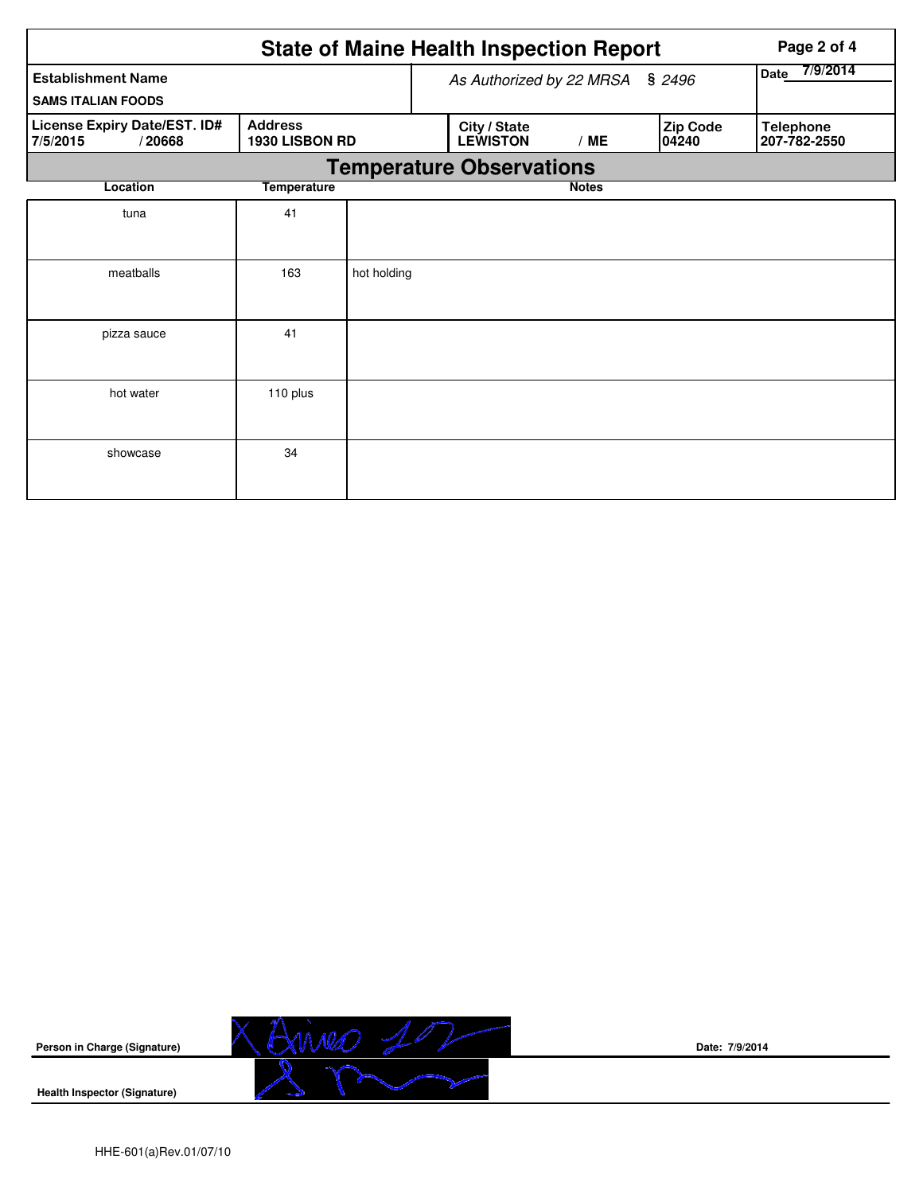|                                                        |                                    |             |                                 | <b>State of Maine Health Inspection Report</b> | Page 2 of 4 |                  |                   |                                  |  |  |
|--------------------------------------------------------|------------------------------------|-------------|---------------------------------|------------------------------------------------|-------------|------------------|-------------------|----------------------------------|--|--|
| <b>Establishment Name</b><br><b>SAMS ITALIAN FOODS</b> | \$2496<br>As Authorized by 22 MRSA |             |                                 |                                                |             | 7/9/2014<br>Date |                   |                                  |  |  |
| License Expiry Date/EST. ID#<br>7/5/2015<br>/20668     | <b>Address</b><br>1930 LISBON RD   |             |                                 | City / State<br><b>LEWISTON</b>                |             | /ME              | Zip Code<br>04240 | <b>Telephone</b><br>207-782-2550 |  |  |
|                                                        |                                    |             | <b>Temperature Observations</b> |                                                |             |                  |                   |                                  |  |  |
| Location                                               | <b>Temperature</b>                 |             |                                 |                                                |             | <b>Notes</b>     |                   |                                  |  |  |
| tuna                                                   | 41                                 |             |                                 |                                                |             |                  |                   |                                  |  |  |
| meatballs                                              | 163                                | hot holding |                                 |                                                |             |                  |                   |                                  |  |  |
| pizza sauce                                            | 41                                 |             |                                 |                                                |             |                  |                   |                                  |  |  |
| hot water                                              | 110 plus                           |             |                                 |                                                |             |                  |                   |                                  |  |  |
| showcase                                               | 34                                 |             |                                 |                                                |             |                  |                   |                                  |  |  |



**Date: 7/9/2014**

HHE-601(a)Rev.01/07/10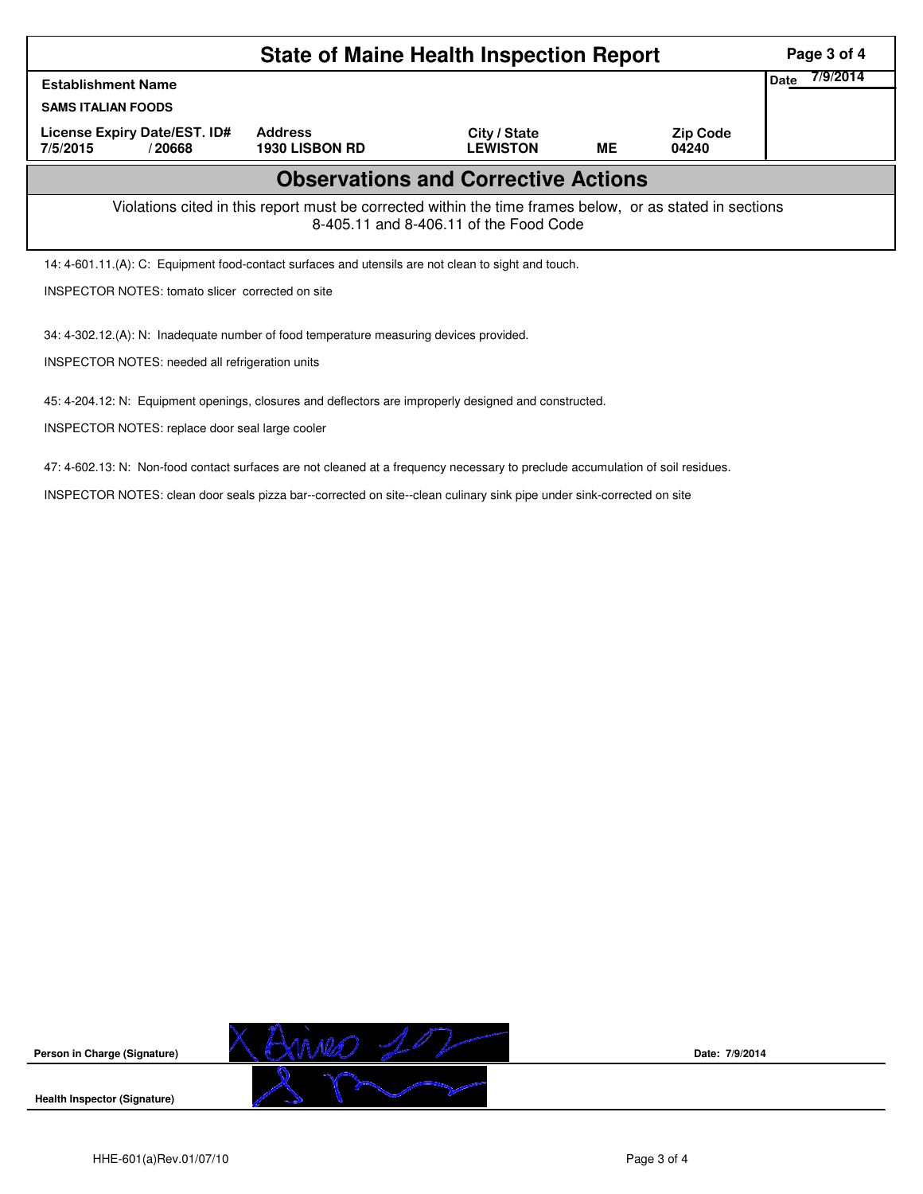| <b>State of Maine Health Inspection Report</b>                                                                                                     |                                        |                                         |                                 |    |                          |  |  |  |  |
|----------------------------------------------------------------------------------------------------------------------------------------------------|----------------------------------------|-----------------------------------------|---------------------------------|----|--------------------------|--|--|--|--|
| <b>Establishment Name</b>                                                                                                                          |                                        |                                         |                                 |    |                          |  |  |  |  |
| <b>SAMS ITALIAN FOODS</b>                                                                                                                          |                                        |                                         |                                 |    |                          |  |  |  |  |
| 7/5/2015                                                                                                                                           | License Expiry Date/EST. ID#<br>/20668 | <b>Address</b><br><b>1930 LISBON RD</b> | City / State<br><b>LEWISTON</b> | ME | <b>Zip Code</b><br>04240 |  |  |  |  |
| <b>Observations and Corrective Actions</b>                                                                                                         |                                        |                                         |                                 |    |                          |  |  |  |  |
| Violations cited in this report must be corrected within the time frames below, or as stated in sections<br>8-405.11 and 8-406.11 of the Food Code |                                        |                                         |                                 |    |                          |  |  |  |  |
| 14: 4-601.11.(A): C: Equipment food-contact surfaces and utensils are not clean to sight and touch.                                                |                                        |                                         |                                 |    |                          |  |  |  |  |
| INSPECTOR NOTES: tomato slicer corrected on site                                                                                                   |                                        |                                         |                                 |    |                          |  |  |  |  |
| 34: 4-302.12.(A): N: Inadequate number of food temperature measuring devices provided.                                                             |                                        |                                         |                                 |    |                          |  |  |  |  |
| <b>INSPECTOR NOTES: needed all refrigeration units</b>                                                                                             |                                        |                                         |                                 |    |                          |  |  |  |  |

45: 4-204.12: N: Equipment openings, closures and deflectors are improperly designed and constructed.

INSPECTOR NOTES: replace door seal large cooler

47: 4-602.13: N: Non-food contact surfaces are not cleaned at a frequency necessary to preclude accumulation of soil residues.

INSPECTOR NOTES: clean door seals pizza bar--corrected on site--clean culinary sink pipe under sink-corrected on site



**Date: 7/9/2014**

**Health Inspector (Signature)**